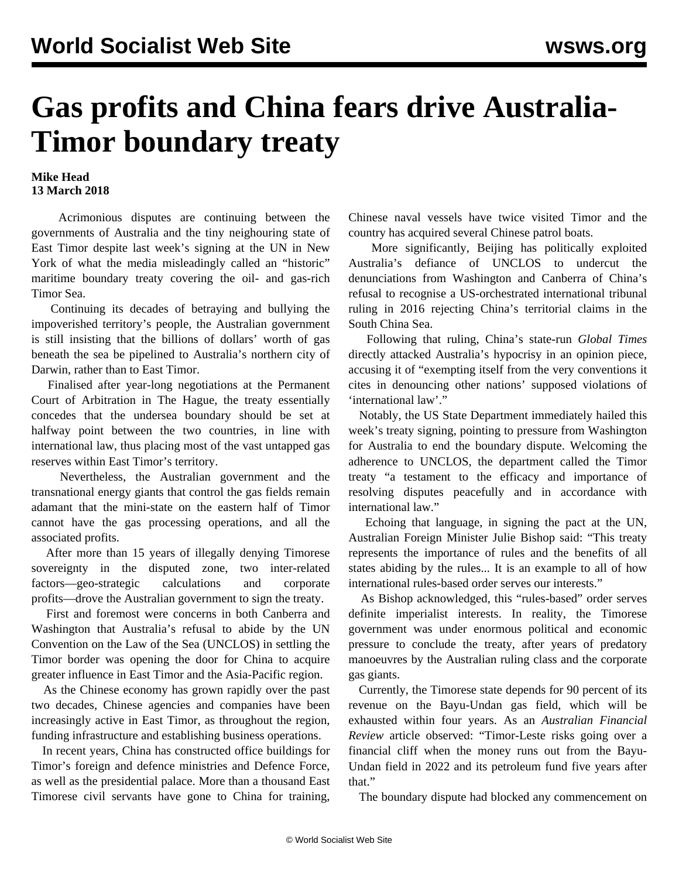## **Gas profits and China fears drive Australia-Timor boundary treaty**

## **Mike Head 13 March 2018**

 Acrimonious disputes are continuing between the governments of Australia and the tiny neighouring state of East Timor despite last week's signing at the UN in New York of what the media misleadingly called an "historic" maritime boundary treaty covering the oil- and gas-rich Timor Sea.

 Continuing its decades of betraying and bullying the impoverished territory's people, the Australian government is still insisting that the billions of dollars' worth of gas beneath the sea be pipelined to Australia's northern city of Darwin, rather than to East Timor.

 Finalised after year-long negotiations at the Permanent Court of Arbitration in The Hague, the treaty essentially concedes that the undersea boundary should be set at halfway point between the two countries, in line with international law, thus placing most of the vast untapped gas reserves within East Timor's territory.

 Nevertheless, the Australian government and the transnational energy giants that control the gas fields remain adamant that the mini-state on the eastern half of Timor cannot have the gas processing operations, and all the associated profits.

 After more than 15 years of illegally denying Timorese sovereignty in the disputed zone, two inter-related factors—geo-strategic calculations and corporate profits—drove the Australian government to sign the treaty.

 First and foremost were concerns in both Canberra and Washington that Australia's refusal to abide by the UN Convention on the Law of the Sea (UNCLOS) in settling the Timor border was opening the door for China to acquire greater influence in East Timor and the Asia-Pacific region.

 As the Chinese economy has grown rapidly over the past two decades, Chinese agencies and companies have been increasingly active in East Timor, as throughout the region, funding infrastructure and establishing business operations.

 In recent years, China has constructed office buildings for Timor's foreign and defence ministries and Defence Force, as well as the presidential palace. More than a thousand East Timorese civil servants have gone to China for training,

Chinese naval vessels have twice visited Timor and the country has acquired several Chinese patrol boats.

 More significantly, Beijing has politically exploited Australia's defiance of UNCLOS to undercut the denunciations from Washington and Canberra of China's refusal to recognise a US-orchestrated international tribunal ruling in 2016 rejecting China's territorial claims in the South China Sea.

 Following that ruling, China's state-run *Global Times* directly attacked Australia's hypocrisy in an opinion piece, accusing it of "exempting itself from the very conventions it cites in denouncing other nations' supposed violations of 'international law'."

 Notably, the US State Department immediately hailed this week's treaty signing, pointing to pressure from Washington for Australia to end the boundary dispute. Welcoming the adherence to UNCLOS, the department called the Timor treaty "a testament to the efficacy and importance of resolving disputes peacefully and in accordance with international law."

 Echoing that language, in signing the pact at the UN, Australian Foreign Minister Julie Bishop said: "This treaty represents the importance of rules and the benefits of all states abiding by the rules... It is an example to all of how international rules-based order serves our interests."

 As Bishop acknowledged, this "rules-based" order serves definite imperialist interests. In reality, the Timorese government was under enormous political and economic pressure to conclude the treaty, after years of predatory manoeuvres by the Australian ruling class and the corporate gas giants.

 Currently, the Timorese state depends for 90 percent of its revenue on the Bayu-Undan gas field, which will be exhausted within four years. As an *Australian Financial Review* article observed: "Timor-Leste risks going over a financial cliff when the money runs out from the Bayu-Undan field in 2022 and its petroleum fund five years after that."

The boundary dispute had blocked any commencement on